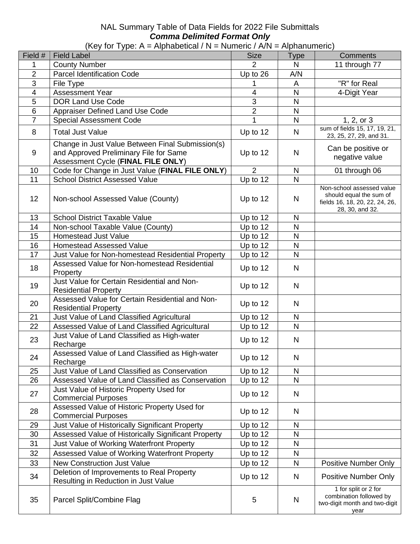## NAL Summary Table of Data Fields for 2022 File Submittals *Comma Delimited Format Only*

(Key for Type: A = Alphabetical / N = Numeric /  $A/N$  = Alphanumeric)

| Field #        | .<br><b>Field Label</b>                                                                                                          | <b>Size</b>    | <b>Type</b>  | <b>Comments</b>                                                                                           |
|----------------|----------------------------------------------------------------------------------------------------------------------------------|----------------|--------------|-----------------------------------------------------------------------------------------------------------|
| 1              | <b>County Number</b>                                                                                                             | $\overline{2}$ | N            | 11 through 77                                                                                             |
| $\overline{2}$ | <b>Parcel Identification Code</b>                                                                                                | Up to 26       | A/N          |                                                                                                           |
| 3              | File Type                                                                                                                        | 1              | A            | "R" for Real                                                                                              |
| $\overline{4}$ | <b>Assessment Year</b>                                                                                                           | $\overline{4}$ | $\mathsf{N}$ | 4-Digit Year                                                                                              |
| 5              | <b>DOR Land Use Code</b>                                                                                                         | $\overline{3}$ | $\mathsf{N}$ |                                                                                                           |
| $6\phantom{1}$ | Appraiser Defined Land Use Code                                                                                                  | $\overline{2}$ | $\mathsf{N}$ |                                                                                                           |
| $\overline{7}$ | <b>Special Assessment Code</b>                                                                                                   | $\mathbf{1}$   | N            | 1, 2, or $3$                                                                                              |
| 8              | <b>Total Just Value</b>                                                                                                          | Up to 12       | N            | sum of fields 15, 17, 19, 21,<br>23, 25, 27, 29, and 31.                                                  |
| 9              | Change in Just Value Between Final Submission(s)<br>and Approved Preliminary File for Same<br>Assessment Cycle (FINAL FILE ONLY) | Up to 12       | N            | Can be positive or<br>negative value                                                                      |
| 10             | Code for Change in Just Value (FINAL FILE ONLY)                                                                                  | 2              | N            | 01 through 06                                                                                             |
| 11             | <b>School District Assessed Value</b>                                                                                            | Up to 12       | $\mathsf{N}$ |                                                                                                           |
| 12             | Non-school Assessed Value (County)                                                                                               | Up to 12       | N            | Non-school assessed value<br>should equal the sum of<br>fields 16, 18, 20, 22, 24, 26,<br>28, 30, and 32. |
| 13             | <b>School District Taxable Value</b>                                                                                             | Up to 12       | N            |                                                                                                           |
| 14             | Non-school Taxable Value (County)                                                                                                | Up to 12       | $\mathsf{N}$ |                                                                                                           |
| 15             | <b>Homestead Just Value</b>                                                                                                      | Up to 12       | $\mathsf{N}$ |                                                                                                           |
| 16             | <b>Homestead Assessed Value</b>                                                                                                  | Up to 12       | $\mathsf{N}$ |                                                                                                           |
| 17             | Just Value for Non-homestead Residential Property                                                                                | Up to 12       | $\mathsf{N}$ |                                                                                                           |
| 18             | Assessed Value for Non-homestead Residential<br>Property                                                                         | Up to 12       | N            |                                                                                                           |
| 19             | Just Value for Certain Residential and Non-<br><b>Residential Property</b>                                                       | Up to 12       | N            |                                                                                                           |
| 20             | Assessed Value for Certain Residential and Non-<br><b>Residential Property</b>                                                   | Up to 12       | N            |                                                                                                           |
| 21             | Just Value of Land Classified Agricultural                                                                                       | Up to 12       | N            |                                                                                                           |
| 22             | Assessed Value of Land Classified Agricultural                                                                                   | Up to 12       | N            |                                                                                                           |
| 23             | Just Value of Land Classified as High-water<br>Recharge                                                                          | Up to 12       | N            |                                                                                                           |
| 24             | Assessed Value of Land Classified as High-water<br>Recharge                                                                      | Up to 12       | N            |                                                                                                           |
| 25             | Just Value of Land Classified as Conservation                                                                                    | Up to 12       | N            |                                                                                                           |
| 26             | Assessed Value of Land Classified as Conservation                                                                                | Up to 12       | N            |                                                                                                           |
| 27             | Just Value of Historic Property Used for<br><b>Commercial Purposes</b>                                                           | Up to 12       | N            |                                                                                                           |
| 28             | Assessed Value of Historic Property Used for<br><b>Commercial Purposes</b>                                                       | Up to 12       | N            |                                                                                                           |
| 29             | Just Value of Historically Significant Property                                                                                  | Up to 12       | N            |                                                                                                           |
| 30             | Assessed Value of Historically Significant Property                                                                              | Up to 12       | N            |                                                                                                           |
| 31             | Just Value of Working Waterfront Property                                                                                        | Up to 12       | $\mathsf{N}$ |                                                                                                           |
| 32             | Assessed Value of Working Waterfront Property                                                                                    | Up to 12       | N            |                                                                                                           |
| 33             | <b>New Construction Just Value</b>                                                                                               | Up to 12       | N            | <b>Positive Number Only</b>                                                                               |
| 34             | Deletion of Improvements to Real Property<br>Resulting in Reduction in Just Value                                                | Up to 12       | N            | <b>Positive Number Only</b>                                                                               |
| 35             | Parcel Split/Combine Flag                                                                                                        | 5              | N            | 1 for split or 2 for<br>combination followed by<br>two-digit month and two-digit<br>year                  |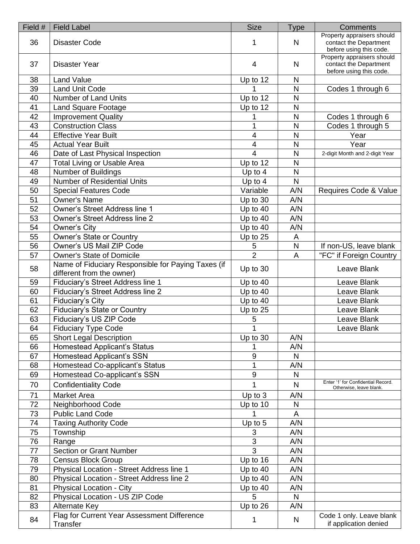| Field # | <b>Field Label</b>                                                              | <b>Size</b>      | Type | Comments                                                                        |
|---------|---------------------------------------------------------------------------------|------------------|------|---------------------------------------------------------------------------------|
| 36      | <b>Disaster Code</b>                                                            | 1                | N    | Property appraisers should<br>contact the Department<br>before using this code. |
| 37      | Disaster Year                                                                   | $\overline{4}$   | N    | Property appraisers should<br>contact the Department<br>before using this code. |
| 38      | <b>Land Value</b>                                                               | Up to 12         | N    |                                                                                 |
| 39      | <b>Land Unit Code</b>                                                           | 1                | N    | Codes 1 through 6                                                               |
| 40      | <b>Number of Land Units</b>                                                     | Up to 12         | N    |                                                                                 |
| 41      | <b>Land Square Footage</b>                                                      | Up to 12         | N    |                                                                                 |
| 42      | <b>Improvement Quality</b>                                                      |                  | N    | Codes 1 through 6                                                               |
| 43      | <b>Construction Class</b>                                                       | 1                | N    | Codes 1 through 5                                                               |
| 44      | <b>Effective Year Built</b>                                                     | 4                | N    | Year                                                                            |
| 45      | <b>Actual Year Built</b>                                                        | 4                | N    | Year                                                                            |
| 46      | Date of Last Physical Inspection                                                | $\overline{4}$   | N    | 2-digit Month and 2-digit Year                                                  |
| 47      | <b>Total Living or Usable Area</b>                                              | Up to 12         | N    |                                                                                 |
| 48      | Number of Buildings                                                             | Up to 4          | N    |                                                                                 |
| 49      | <b>Number of Residential Units</b>                                              | Up to 4          | N    |                                                                                 |
| 50      | <b>Special Features Code</b>                                                    | Variable         | A/N  | Requires Code & Value                                                           |
| 51      | <b>Owner's Name</b>                                                             | Up to 30         | A/N  |                                                                                 |
| 52      | Owner's Street Address line 1                                                   | Up to 40         | A/N  |                                                                                 |
| 53      | <b>Owner's Street Address line 2</b>                                            | Up to 40         | A/N  |                                                                                 |
| 54      | Owner's City                                                                    | Up to 40         | A/N  |                                                                                 |
| 55      | Owner's State or Country                                                        | Up to 25         | A    |                                                                                 |
| 56      | Owner's US Mail ZIP Code                                                        | 5                | N    | If non-US, leave blank                                                          |
| 57      | <b>Owner's State of Domicile</b>                                                | $\overline{2}$   | A    | "FC" if Foreign Country                                                         |
| 58      | Name of Fiduciary Responsible for Paying Taxes (if<br>different from the owner) | Up to 30         |      | Leave Blank                                                                     |
| 59      | Fiduciary's Street Address line 1                                               | Up to 40         |      | Leave Blank                                                                     |
| 60      | Fiduciary's Street Address line 2                                               | Up to 40         |      | Leave Blank                                                                     |
| 61      | Fiduciary's City                                                                | Up to 40         |      | Leave Blank                                                                     |
| 62      | <b>Fiduciary's State or Country</b>                                             | Up to 25         |      | Leave Blank                                                                     |
| 63      | Fiduciary's US ZIP Code                                                         | 5                |      | Leave Blank                                                                     |
| 64      | <b>Fiduciary Type Code</b>                                                      | 1                |      | Leave Blank                                                                     |
| 65      | <b>Short Legal Description</b>                                                  | Up to 30         | A/N  |                                                                                 |
| 66      | Homestead Applicant's Status                                                    |                  | A/N  |                                                                                 |
| 67      | <b>Homestead Applicant's SSN</b>                                                | $\boldsymbol{9}$ | N    |                                                                                 |
| 68      | Homestead Co-applicant's Status                                                 | 1                | A/N  |                                                                                 |
| 69      | Homestead Co-applicant's SSN                                                    | 9                | N    |                                                                                 |
| 70      | <b>Confidentiality Code</b>                                                     | 1                | N    | Enter '1' for Confidential Record.<br>Otherwise, leave blank.                   |
| 71      | <b>Market Area</b>                                                              | Up to 3          | A/N  |                                                                                 |
| 72      | Neighborhood Code                                                               | Up to 10         | N    |                                                                                 |
| 73      | <b>Public Land Code</b>                                                         |                  | A    |                                                                                 |
| 74      | <b>Taxing Authority Code</b>                                                    | Up to 5          | A/N  |                                                                                 |
| 75      | Township                                                                        | 3                | A/N  |                                                                                 |
| 76      | Range                                                                           | 3                | A/N  |                                                                                 |
| 77      | <b>Section or Grant Number</b>                                                  | $\overline{3}$   | A/N  |                                                                                 |
| 78      | <b>Census Block Group</b>                                                       | Up to 16         | A/N  |                                                                                 |
| 79      | Physical Location - Street Address line 1                                       | Up to 40         | A/N  |                                                                                 |
| 80      | Physical Location - Street Address line 2                                       | Up to $40$       | A/N  |                                                                                 |
| 81      | Physical Location - City                                                        | Up to 40         | A/N  |                                                                                 |
| 82      | Physical Location - US ZIP Code                                                 | 5                | N    |                                                                                 |
| 83      | Alternate Key                                                                   | Up to 26         | A/N  |                                                                                 |
| 84      | Flag for Current Year Assessment Difference<br>Transfer                         | 1                | N    | Code 1 only. Leave blank<br>if application denied                               |